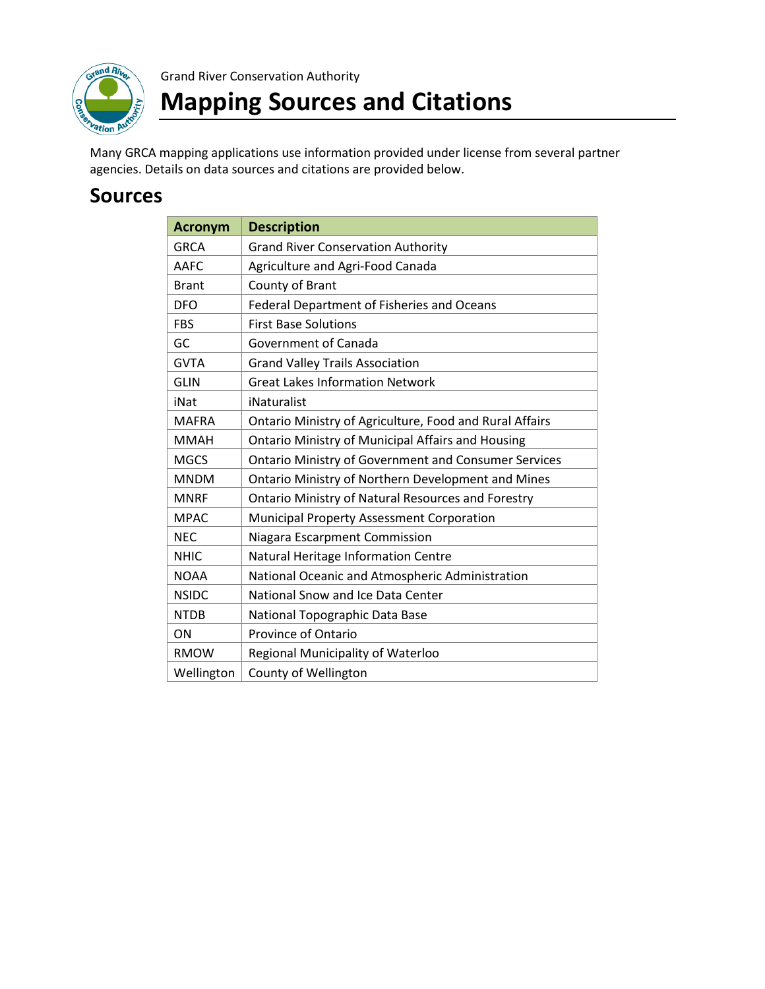

Grand River Conservation Authority

## **Mapping Sources and Citations**

Many GRCA mapping applications use information provided under license from several partner agencies. Details on data sources and citations are provided below.

## **Sources**

| <b>Acronym</b> | <b>Description</b>                                          |
|----------------|-------------------------------------------------------------|
| <b>GRCA</b>    | <b>Grand River Conservation Authority</b>                   |
| <b>AAFC</b>    | Agriculture and Agri-Food Canada                            |
| <b>Brant</b>   | County of Brant                                             |
| <b>DFO</b>     | Federal Department of Fisheries and Oceans                  |
| <b>FBS</b>     | <b>First Base Solutions</b>                                 |
| GC             | Government of Canada                                        |
| <b>GVTA</b>    | <b>Grand Valley Trails Association</b>                      |
| <b>GLIN</b>    | <b>Great Lakes Information Network</b>                      |
| iNat           | iNaturalist                                                 |
| <b>MAFRA</b>   | Ontario Ministry of Agriculture, Food and Rural Affairs     |
| <b>MMAH</b>    | <b>Ontario Ministry of Municipal Affairs and Housing</b>    |
| <b>MGCS</b>    | <b>Ontario Ministry of Government and Consumer Services</b> |
| <b>MNDM</b>    | Ontario Ministry of Northern Development and Mines          |
| <b>MNRF</b>    | <b>Ontario Ministry of Natural Resources and Forestry</b>   |
| <b>MPAC</b>    | Municipal Property Assessment Corporation                   |
| <b>NEC</b>     | Niagara Escarpment Commission                               |
| <b>NHIC</b>    | Natural Heritage Information Centre                         |
| <b>NOAA</b>    | National Oceanic and Atmospheric Administration             |
| <b>NSIDC</b>   | National Snow and Ice Data Center                           |
| <b>NTDB</b>    | National Topographic Data Base                              |
| ON             | Province of Ontario                                         |
| <b>RMOW</b>    | Regional Municipality of Waterloo                           |
| Wellington     | County of Wellington                                        |